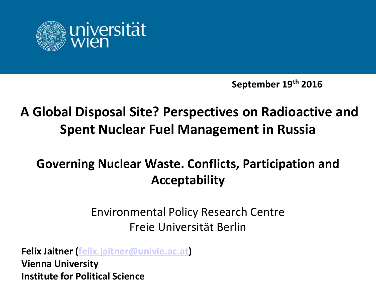

**September 19th 2016**

## **A Global Disposal Site? Perspectives on Radioactive and Spent Nuclear Fuel Management in Russia**

### **Governing Nuclear Waste. Conflicts, Participation and Acceptability**

#### Environmental Policy Research Centre Freie Universität Berlin

**Felix Jaitner ([felix.jaitner@univie.ac.at](mailto:felix.jaitner@univie.ac.at)) Vienna University Institute for Political Science**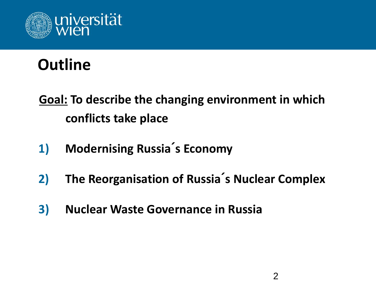

# **Outline**

**Goal: To describe the changing environment in which conflicts take place**

- **1) Modernising Russia´s Economy**
- **2) The Reorganisation of Russia´s Nuclear Complex**
- **3) Nuclear Waste Governance in Russia**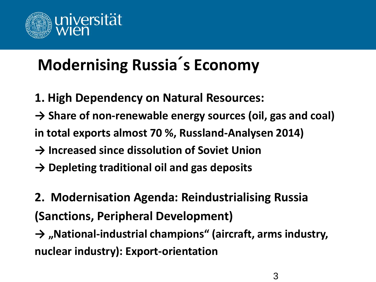

# **Modernising Russia´s Economy**

- **1. High Dependency on Natural Resources:**
- **→ Share of non-renewable energy sources (oil, gas and coal)**
- **in total exports almost 70 %, Russland-Analysen 2014)**
- **→ Increased since dissolution of Soviet Union**
- **→ Depleting traditional oil and gas deposits**
- **2. Modernisation Agenda: Reindustrialising Russia (Sanctions, Peripheral Development)**
- → "National-industrial champions" (aircraft, arms industry, **nuclear industry): Export-orientation**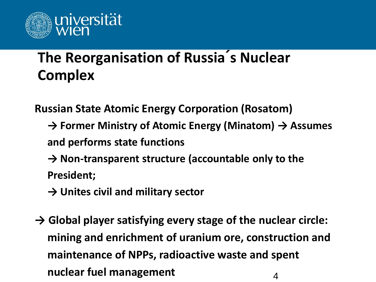

## **The Reorganisation of Russia´s Nuclear Complex**

**Russian State Atomic Energy Corporation (Rosatom)**

- **→ Former Ministry of Atomic Energy (Minatom) → Assumes and performs state functions**
- **→ Non-transparent structure (accountable only to the President;**
- **→ Unites civil and military sector**
- **→ Global player satisfying every stage of the nuclear circle: mining and enrichment of uranium ore, construction and maintenance of NPPs, radioactive waste and spent nuclear fuel management** <sup>4</sup>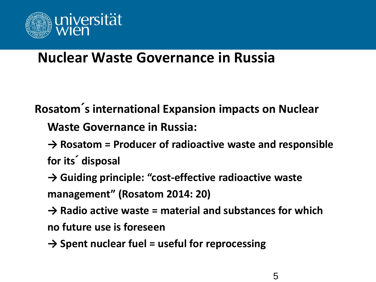

### **Nuclear Waste Governance in Russia**

**Rosatom´s international Expansion impacts on Nuclear** 

**Waste Governance in Russia:** 

**→ Rosatom = Producer of radioactive waste and responsible for its´ disposal**

**→ Guiding principle: "cost-effective radioactive waste management" (Rosatom 2014: 20)**

**→ Radio active waste = material and substances for which** 

**no future use is foreseen**

**→ Spent nuclear fuel = useful for reprocessing**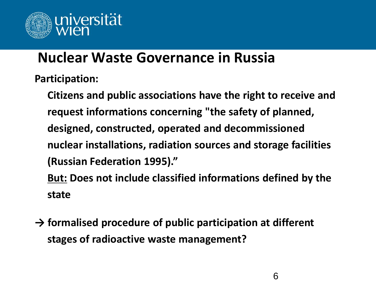

### **Nuclear Waste Governance in Russia**

**Participation:**

**Citizens and public associations have the right to receive and request informations concerning "the safety of planned, designed, constructed, operated and decommissioned nuclear installations, radiation sources and storage facilities (Russian Federation 1995)."** 

**But: Does not include classified informations defined by the state**

**→ formalised procedure of public participation at different stages of radioactive waste management?**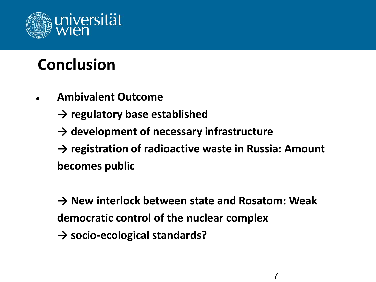

# **Conclusion**

- **Ambivalent Outcome**
	- **→ regulatory base established**
	- **→ development of necessary infrastructure**
	- **→ registration of radioactive waste in Russia: Amount becomes public**

**→ New interlock between state and Rosatom: Weak democratic control of the nuclear complex**

**→ socio-ecological standards?**